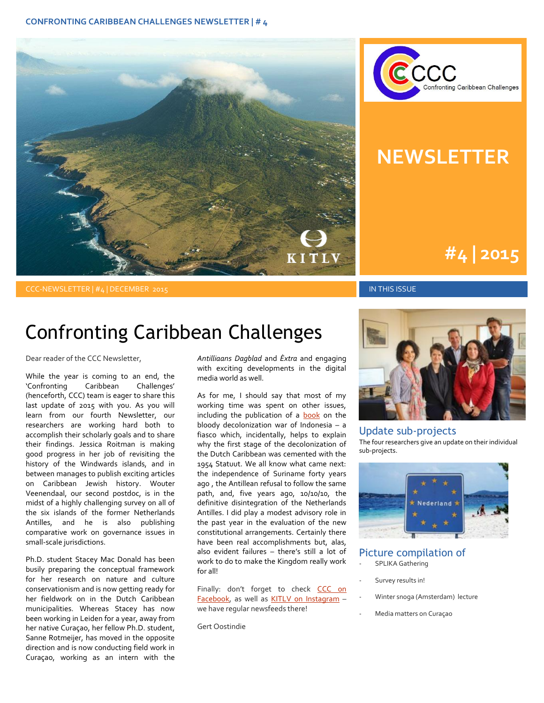



## **NEWSLETTER**

# **#1 | 2015 #4 | 2015**

CCC-NEWSLETTER | #4 | DECEMBER 2015 IN THIS ISSUE

### Confronting Caribbean Challenges

Dear reader of the CCC Newsletter,

While the year is coming to an end, the 'Confronting Caribbean Challenges' (henceforth, CCC) team is eager to share this last update of 2015 with you. As you will learn from our fourth Newsletter, our researchers are working hard both to accomplish their scholarly goals and to share their findings. Jessica Roitman is making good progress in her job of revisiting the history of the Windwards islands, and in between manages to publish exciting articles on Caribbean Jewish history. Wouter Veenendaal, our second postdoc, is in the midst of a highly challenging survey on all of the six islands of the former Netherlands Antilles, and he is also publishing comparative work on governance issues in small-scale jurisdictions.

Ph.D. student Stacey Mac Donald has been busily preparing the conceptual framework for her research on nature and culture conservationism and is now getting ready for her fieldwork on in the Dutch Caribbean municipalities. Whereas Stacey has now been working in Leiden for a year, away from her native Curaçao, her fellow Ph.D. student, Sanne Rotmeijer, has moved in the opposite direction and is now conducting field work in Curaçao, working as an intern with the *Antilliaans Dagblad* and *Èxtra* and engaging with exciting developments in the digital media world as well.

As for me, I should say that most of my working time was spent on other issues, including the publication of a **book** on the bloody decolonization war of Indonesia – a fiasco which, incidentally, helps to explain why the first stage of the decolonization of the Dutch Caribbean was cemented with the 1954 Statuut. We all know what came next: the independence of Suriname forty years ago , the Antillean refusal to follow the same path, and, five years ago, 10/10/10, the definitive disintegration of the Netherlands Antilles. I did play a modest advisory role in the past year in the evaluation of the new constitutional arrangements. Certainly there have been real accomplishments but, alas, also evident failures – there's still a lot of work to do to make the Kingdom really work for all!

Finally: don't forget to check CCC on [Facebook,](https://www.facebook.com/ConfrontingCaribbeanChallenges/?ref=hl) as well as [KITLV on Instagram](https://www.instagram.com/explore/locations/624970480/) we have regular newsfeeds there!

Gert Oostindie



#### Update sub-projects

The four researchers give an update on their individual sub-projects.



### Picture compilation of

- SPLIKA Gathering
- Survey results in!
- Winter snoga (Amsterdam) lecture
- Media matters on Curaçao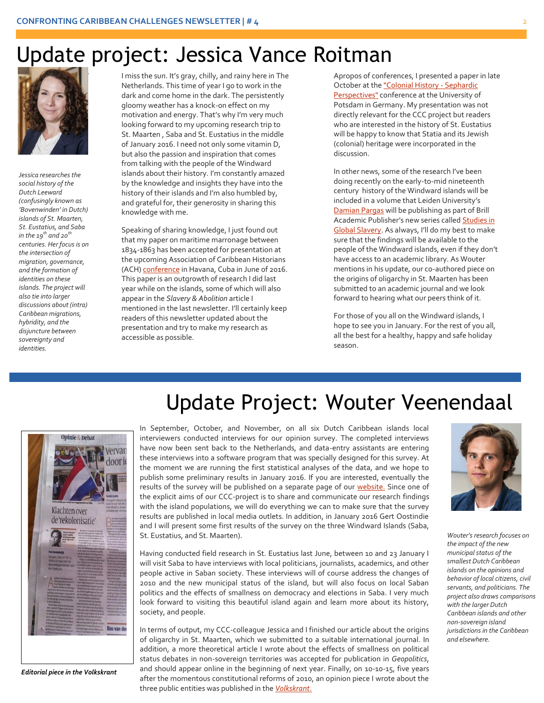### Update project: Jessica Vance Roitman



*Jessica researches the social history of the Dutch Leeward (confusingly known as 'Bovenwinden' in Dutch) islands of St. Maarten, St. Eustatius, and Saba in the*  $19<sup>th</sup>$  *and*  $20<sup>th</sup>$ *centuries. Her focus is on the intersection of migration, governance, and the formation of identities on these islands. The project will also tie into larger discussions about (intra) Caribbean migrations, hybridity, and the disjuncture between sovereignty and identities.*

motivation and energy. That's why I'm very much looking forward to my upcoming research trip to I miss the sun. It's gray, chilly, and rainy here in The Netherlands. This time of year I go to work in the dark and come home in the dark. The persistently gloomy weather has a knock-on effect on my motivation and energy. That's why I'm very much St. Maarten , Saba and St. Eustatius in the middle of January 2016. I need not only some vitamin D, but also the passion and inspiration that comes from talking with the people of the Windward islands about their history. I'm constantly amazed by the knowledge and insights they have into the history of their islands and I'm also humbled by, and grateful for, their generosity in sharing this knowledge with me.

> Speaking of sharing knowledge, I just found out that my paper on maritime marronage between 1834-1863 has been accepted for presentation at the upcoming Association of Caribbean Historians (ACH[\) conference](http://www.associationofcaribbeanhistorians.org/annualmeeting.htm) in Havana, Cuba in June of 2016. This paper is an outgrowth of research I did last year while on the islands, some of which will also appear in the *Slavery & Abolition* article I mentioned in the last newsletter. I'll certainly keep readers of this newsletter updated about the presentation and try to make my research as accessible as possible.

Apropos of conferences, I presented a paper in late October at th[e "Colonial History -](https://www.uni-potsdam.de/en/explore-the-up/news-and-announcements/events/detail/event/show/2015-10-27-colonial-history-sephardic-perspectives.html) Sephardic [Perspectives"](https://www.uni-potsdam.de/en/explore-the-up/news-and-announcements/events/detail/event/show/2015-10-27-colonial-history-sephardic-perspectives.html) conference at the University of Potsdam in Germany. My presentation was not directly relevant for the CCC project but readers who are interested in the history of St. Eustatius will be happy to know that Statia and its Jewish (colonial) heritage were incorporated in the discussion.

In other news, some of the research I've been doing recently on the early-to-mid nineteenth century history of the Windward islands will be included in a volume that Leiden University's [Damian Pargas](http://www.hum.leiden.edu/history/staff/pargasda.html) will be publishing as part of Brill Academic Publisher's new series called [Studies in](http://www.brill.com/products/series/studies-global-slavery)  [Global Slavery.](http://www.brill.com/products/series/studies-global-slavery) As always, I'll do my best to make sure that the findings will be available to the people of the Windward islands, even if they don't have access to an academic library. As Wouter mentions in his update, our co-authored piece on the origins of oligarchy in St. Maarten has been submitted to an academic journal and we look forward to hearing what our peers think of it.

For those of you all on the Windward islands, I hope to see you in January. For the rest of you all, all the best for a healthy, happy and safe holiday season.



*Editorial piece in the Volkskrant*

# Update Project: Wouter Veenendaal

In September, October, and November, on all six Dutch Caribbean islands local interviewers conducted interviews for our opinion survey. The completed interviews have now been sent back to the Netherlands, and data-entry assistants are entering these interviews into a software program that was specially designed for this survey. At the moment we are running the first statistical analyses of the data, and we hope to publish some preliminary results in January 2016. If you are interested, eventually the results of the survey will be published on a separate page of our [website.](http://www.kitlv.nl/research-projects-confronting-caribbean-challenges-opinion-survey/) Since one of the explicit aims of our CCC-project is to share and communicate our research findings with the island populations, we will do everything we can to make sure that the survey results are published in local media outlets. In addition, in January 2016 Gert Oostindie and I will present some first results of the survey on the three Windward Islands (Saba, St. Eustatius, and St. Maarten).

Having conducted field research in St. Eustatius last June, between 10 and 23 January I will visit Saba to have interviews with local politicians, journalists, academics, and other people active in Saban society. These interviews will of course address the changes of 2010 and the new municipal status of the island, but will also focus on local Saban politics and the effects of smallness on democracy and elections in Saba. I very much look forward to visiting this beautiful island again and learn more about its history, society, and people.

In terms of output, my CCC-colleague Jessica and I finished our article about the origins of oligarchy in St. Maarten, which we submitted to a suitable international journal. In addition, a more theoretical article I wrote about the effects of smallness on political status debates in non-sovereign territories was accepted for publication in *Geopolitics*, and should appear online in the beginning of next year. Finally, on 10-10-15, five years after the momentous constitutional reforms of 2010, an opinion piece I wrote about the three public entities was published in the *[Volkskrant]((http:/www.volkskrant.nl/opinie/geef-caribische-gemeenten-gevoel-zeggenschap-terug~a4161064/).)*.



*Wouter's research focuses on the impact of the new municipal status of the smallest Dutch Caribbean islands on the opinions and behavior of local citizens, civil servants, and politicians. The project also draws comparisons with the larger Dutch Caribbean islands and other non-sovereign island jurisdictions in the Caribbean and elsewhere.*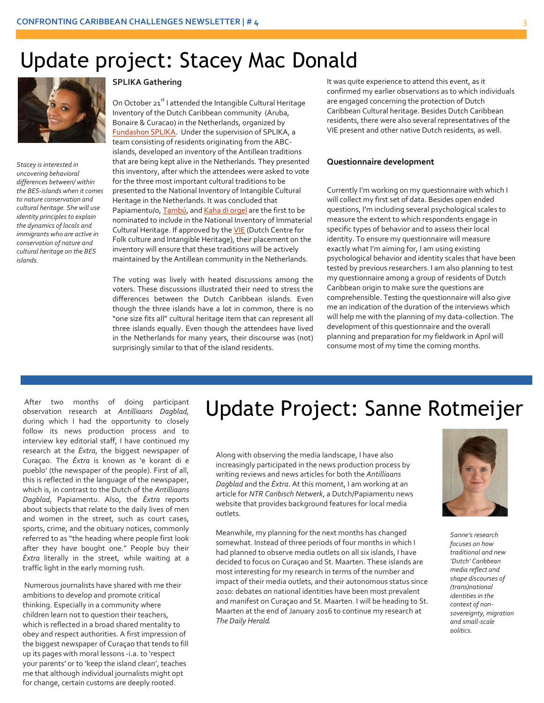## Update project: Stacey Mac Donald



*Stacey is interested in uncovering behavioral differences between/ within the BES-islands when it comes to nature conservation and cultural heritage. She will use identity principles to explain the dynamics of locals and immigrants who are active in conservation of nature and cultural heritage on the BES islands.*

#### **SPLIKA Gathering**

On October 21<sup>st</sup> I attended the Intangible Cultural Heritage Inventory of the Dutch Caribbean community (Aruba, Bonaire & Curacao) in the Netherlands, organized by [Fundashon SPLIKA.](http://www.splika.nl/) Under the supervision of SPLIKA, a team consisting of residents originating from the ABCislands, developed an inventory of the Antillean traditions that are being kept alive in the Netherlands. They presented this inventory, after which the attendees were asked to vote for the three most important cultural traditions to be presented to the National Inventory of Intangible Cultural Heritage in the Netherlands. It was concluded that Papiamentu/o[, Tambú,](https://en.wikipedia.org/wiki/Tambu_(music)) an[d Kaha di orgel](https://www.youtube.com/watch?v=qsK01hQWsTA) are the first to be nominated to include in the National Inventory of Immaterial Cultural Heritage. If approved by the **VIE** (Dutch Centre for Folk culture and Intangible Heritage), their placement on the inventory will ensure that these traditions will be actively maintained by the Antillean community in the Netherlands.

The voting was lively with heated discussions among the voters. These discussions illustrated their need to stress the differences between the Dutch Caribbean islands. Even though the three islands have a lot in common, there is no "one size fits all" cultural heritage item that can represent all three islands equally. Even though the attendees have lived in the Netherlands for many years, their discourse was (not) surprisingly similar to that of the island residents.

It was quite experience to attend this event, as it confirmed my earlier observations as to which individuals are engaged concerning the protection of Dutch Caribbean Cultural heritage. Besides Dutch Caribbean residents, there were also several representatives of the VIE present and other native Dutch residents, as well.

#### **Questionnaire development**

Currently I'm working on my questionnaire with which I will collect my first set of data. Besides open ended questions, I'm including several psychological scales to measure the extent to which respondents engage in specific types of behavior and to assess their local identity. To ensure my questionnaire will measure exactly what I'm aiming for, I am using existing psychological behavior and identity scales that have been tested by previous researchers. I am also planning to test my questionnaire among a group of residents of Dutch Caribbean origin to make sure the questions are comprehensible. Testing the questionnaire will also give me an indication of the duration of the interviews which will help me with the planning of my data-collection. The development of this questionnaire and the overall planning and preparation for my fieldwork in April will consume most of my time the coming months.

After two months of doing participant observation research at *Antilliaans Dagblad,*  during which I had the opportunity to closely follow its news production process and to interview key editorial staff, I have continued my research at the *Èxtra*, the biggest newspaper of Curaçao. The *Èxtra* is known as 'e korant di e pueblo' (the newspaper of the people). First of all, this is reflected in the language of the newspaper, which is, in contrast to the Dutch of the *Antilliaans Dagblad*, Papiamentu. Also, the *Èxtra* reports about subjects that relate to the daily lives of men and women in the street, such as court cases, sports, crime, and the obituary notices, commonly referred to as "the heading where people first look after they have bought one." People buy their *Èxtra* literally in the street, while waiting at a traffic light in the early morning rush.

Numerous journalists have shared with me their ambitions to develop and promote critical thinking. Especially in a community where children learn not to question their teachers, which is reflected in a broad shared mentality to obey and respect authorities. A first impression of the biggest newspaper of Curaçao that tends to fill up its pages with moral lessons -i.a. to 'respect your parents' or to 'keep the island clean', teaches me that although individual journalists might opt for change, certain customs are deeply rooted.

# Update Project: Sanne Rotmeijer

Along with observing the media landscape, I have also increasingly participated in the news production process by writing reviews and news articles for both the *Antilliaans Dagblad* and the *Èxtra*. At this moment, I am working at an article for *NTR Caribisch Netwerk*, a Dutch/Papiamentu news website that provides background features for local media outlets.

Meanwhile, my planning for the next months has changed somewhat. Instead of three periods of four months in which I had planned to observe media outlets on all six islands, I have decided to focus on Curaçao and St. Maarten. These islands are most interesting for my research in terms of the number and impact of their media outlets, and their autonomous status since 2010: debates on national identities have been most prevalent and manifest on Curaçao and St. Maarten. I will be heading to St. Maarten at the end of January 2016 to continue my research at *The Daily Herald.* 



*Sanne's research focuses on how traditional and new 'Dutch' Caribbean media reflect and shape discourses of (trans)national identities in the context of nonsovereignty, migration and small-scale politics.*